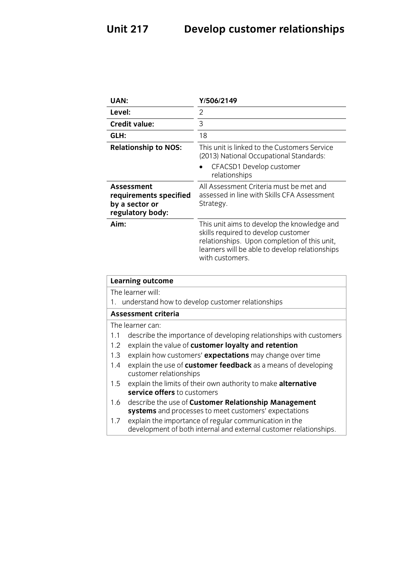| <b>UAN:</b>                                                                                                                        | Y/506/2149                                                                                                                                                                                              |  |
|------------------------------------------------------------------------------------------------------------------------------------|---------------------------------------------------------------------------------------------------------------------------------------------------------------------------------------------------------|--|
| Level:                                                                                                                             | $\overline{2}$                                                                                                                                                                                          |  |
| <b>Credit value:</b>                                                                                                               | $\overline{3}$                                                                                                                                                                                          |  |
| GLH:                                                                                                                               | 18                                                                                                                                                                                                      |  |
| <b>Relationship to NOS:</b>                                                                                                        | This unit is linked to the Customers Service<br>(2013) National Occupational Standards:                                                                                                                 |  |
|                                                                                                                                    | CFACSD1 Develop customer<br>relationships                                                                                                                                                               |  |
| <b>Assessment</b><br>requirements specified<br>by a sector or<br>regulatory body:                                                  | All Assessment Criteria must be met and<br>assessed in line with Skills CFA Assessment<br>Strategy.                                                                                                     |  |
| Aim:                                                                                                                               | This unit aims to develop the knowledge and<br>skills required to develop customer<br>relationships. Upon completion of this unit,<br>learners will be able to develop relationships<br>with customers. |  |
| <b>Learning outcome</b>                                                                                                            |                                                                                                                                                                                                         |  |
| The learner will:                                                                                                                  |                                                                                                                                                                                                         |  |
| understand how to develop customer relationships<br>1.                                                                             |                                                                                                                                                                                                         |  |
| <b>Assessment criteria</b>                                                                                                         |                                                                                                                                                                                                         |  |
| The learner can:                                                                                                                   |                                                                                                                                                                                                         |  |
| describe the importance of developing relationships with customers<br>1.1                                                          |                                                                                                                                                                                                         |  |
| explain the value of customer loyalty and retention<br>1.2<br>1.3                                                                  |                                                                                                                                                                                                         |  |
| explain how customers' expectations may change over time<br>1.4                                                                    |                                                                                                                                                                                                         |  |
|                                                                                                                                    | explain the use of customer feedback as a means of developing<br>customer relationships                                                                                                                 |  |
| explain the limits of their own authority to make alternative<br>1.5                                                               |                                                                                                                                                                                                         |  |
| service offers to customers                                                                                                        |                                                                                                                                                                                                         |  |
| describe the use of Customer Relationship Management<br>1.6<br>systems and processes to meet customers' expectations               |                                                                                                                                                                                                         |  |
| explain the importance of regular communication in the<br>1.7<br>development of both internal and external customer relationships. |                                                                                                                                                                                                         |  |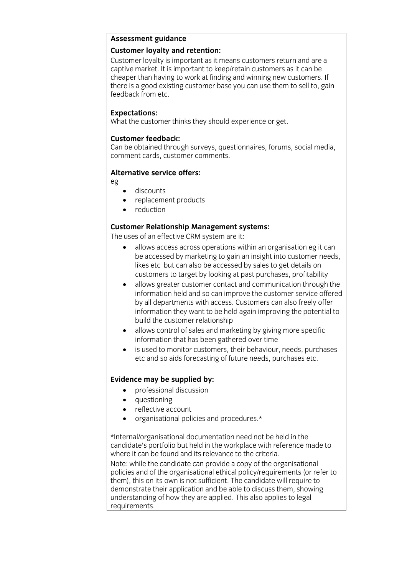# **Assessment guidance**

Customer loyalty is important as it means customers return and are a captive market. It is important to keep/retain customers as it can be cheaper than having to work at finding and winning new customers. If there is a good existing customer base you can use them to sell to, gain feedback from etc. feedback from etc.

**Experience**<br>What the custo  $\mathcal{L}_{\text{max}}$  the customer thinks they should experience or get.

**Customer feedback:**<br>Can be obtained through surveys, questionnaires, forums, social media, comment cards, customer comments. comment cards, customer comments.

### **Alternative service offers: Alternative service offers:**

eg

- discounts
- replacement products
- reduction

## **Customer Relationship Management systems:**<br>The uses of an effective CRM system are it:

- allows access across operations within an organisation eg it can<br>he accessed by marketing to gain an insight into customer needs be accessed by marketing to gain an insight into customer needs, likes etc but can also be accessed by sales to get details on customers to target by looking at past purchases, profitability
	- allows greater customer contact and communication through the information held and so can improve the customer service offered information held and so can improve the customer service offered<br>by all departments with access. Customers can also freely offer information they want to be held again improving the potential to build the customer relationship
	- allows control of sales and marketing by giving more specific<br>information that has been gathered over time
	- $\bullet$  is used to monitor customers, their behaviour, needs, purchases etc and so aids forecasting of future needs, purchases etc.  $\sum_{i=1}^{n}$

- **Evidence** may be supplied by:
	- questioning
	- reflective account
	- organisational policies and procedures.\*

\*Internal/organisational documentation need not be held in the where it can be found and its relevance to the criteria. Note: while the candidate can provide a copy of the organisational policies and of the organisational ethical policy/requirements (or refer to them), this on its own is not sufficient. The candidate will require to demonstrate their application and be able to discuss them, showing understanding of how they are applied. This also applies to legal requirements. <u>requirements.</u>